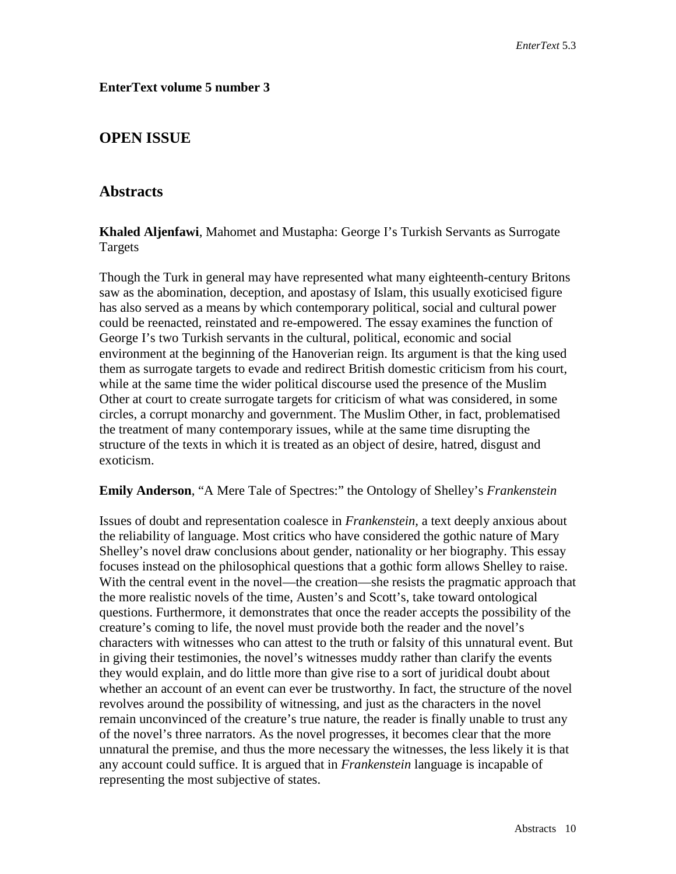## **EnterText volume 5 number 3**

# **OPEN ISSUE**

## **Abstracts**

**Khaled Aljenfawi**, Mahomet and Mustapha: George I's Turkish Servants as Surrogate Targets

Though the Turk in general may have represented what many eighteenth-century Britons saw as the abomination, deception, and apostasy of Islam, this usually exoticised figure has also served as a means by which contemporary political, social and cultural power could be reenacted, reinstated and re-empowered. The essay examines the function of George I's two Turkish servants in the cultural, political, economic and social environment at the beginning of the Hanoverian reign. Its argument is that the king used them as surrogate targets to evade and redirect British domestic criticism from his court, while at the same time the wider political discourse used the presence of the Muslim Other at court to create surrogate targets for criticism of what was considered, in some circles, a corrupt monarchy and government. The Muslim Other, in fact, problematised the treatment of many contemporary issues, while at the same time disrupting the structure of the texts in which it is treated as an object of desire, hatred, disgust and exoticism.

#### **Emily Anderson**, "A Mere Tale of Spectres:" the Ontology of Shelley's *Frankenstein*

Issues of doubt and representation coalesce in *Frankenstein,* a text deeply anxious about the reliability of language. Most critics who have considered the gothic nature of Mary Shelley's novel draw conclusions about gender, nationality or her biography. This essay focuses instead on the philosophical questions that a gothic form allows Shelley to raise. With the central event in the novel—the creation—she resists the pragmatic approach that the more realistic novels of the time, Austen's and Scott's, take toward ontological questions. Furthermore, it demonstrates that once the reader accepts the possibility of the creature's coming to life, the novel must provide both the reader and the novel's characters with witnesses who can attest to the truth or falsity of this unnatural event. But in giving their testimonies, the novel's witnesses muddy rather than clarify the events they would explain, and do little more than give rise to a sort of juridical doubt about whether an account of an event can ever be trustworthy. In fact, the structure of the novel revolves around the possibility of witnessing, and just as the characters in the novel remain unconvinced of the creature's true nature, the reader is finally unable to trust any of the novel's three narrators. As the novel progresses, it becomes clear that the more unnatural the premise, and thus the more necessary the witnesses, the less likely it is that any account could suffice. It is argued that in *Frankenstein* language is incapable of representing the most subjective of states.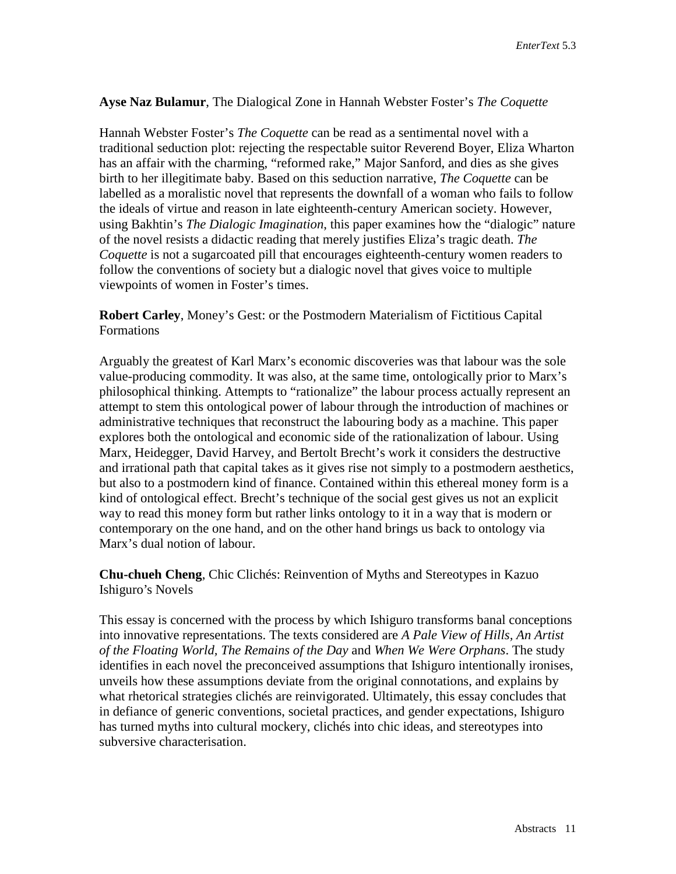#### **Ayse Naz Bulamur**, The Dialogical Zone in Hannah Webster Foster's *The Coquette*

Hannah Webster Foster's *The Coquette* can be read as a sentimental novel with a traditional seduction plot: rejecting the respectable suitor Reverend Boyer, Eliza Wharton has an affair with the charming, "reformed rake," Major Sanford, and dies as she gives birth to her illegitimate baby. Based on this seduction narrative, *The Coquette* can be labelled as a moralistic novel that represents the downfall of a woman who fails to follow the ideals of virtue and reason in late eighteenth-century American society. However, using Bakhtin's *The Dialogic Imagination*, this paper examines how the "dialogic" nature of the novel resists a didactic reading that merely justifies Eliza's tragic death. *The Coquette* is not a sugarcoated pill that encourages eighteenth-century women readers to follow the conventions of society but a dialogic novel that gives voice to multiple viewpoints of women in Foster's times.

**Robert Carley**, Money's Gest: or the Postmodern Materialism of Fictitious Capital Formations

Arguably the greatest of Karl Marx's economic discoveries was that labour was the sole value-producing commodity. It was also, at the same time, ontologically prior to Marx's philosophical thinking. Attempts to "rationalize" the labour process actually represent an attempt to stem this ontological power of labour through the introduction of machines or administrative techniques that reconstruct the labouring body as a machine. This paper explores both the ontological and economic side of the rationalization of labour. Using Marx, Heidegger, David Harvey, and Bertolt Brecht's work it considers the destructive and irrational path that capital takes as it gives rise not simply to a postmodern aesthetics, but also to a postmodern kind of finance. Contained within this ethereal money form is a kind of ontological effect. Brecht's technique of the social gest gives us not an explicit way to read this money form but rather links ontology to it in a way that is modern or contemporary on the one hand, and on the other hand brings us back to ontology via Marx's dual notion of labour.

**Chu-chueh Cheng**, Chic Clichés: Reinvention of Myths and Stereotypes in Kazuo Ishiguro's Novels

This essay is concerned with the process by which Ishiguro transforms banal conceptions into innovative representations. The texts considered are *A Pale View of Hills, An Artist of the Floating World, The Remains of the Day* and *When We Were Orphans*. The study identifies in each novel the preconceived assumptions that Ishiguro intentionally ironises, unveils how these assumptions deviate from the original connotations, and explains by what rhetorical strategies clichés are reinvigorated. Ultimately, this essay concludes that in defiance of generic conventions, societal practices, and gender expectations, Ishiguro has turned myths into cultural mockery, clichés into chic ideas, and stereotypes into subversive characterisation.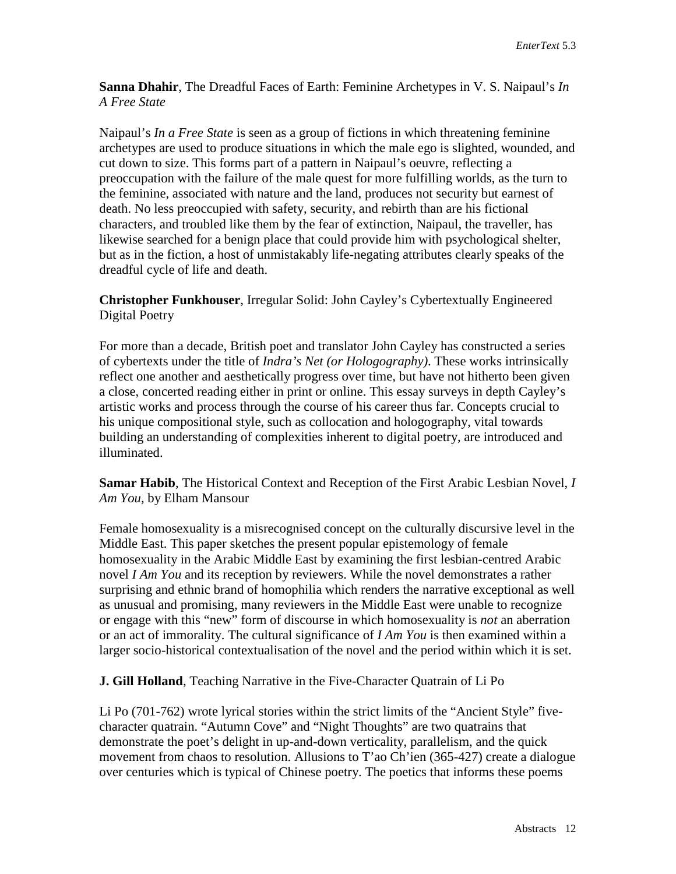**Sanna Dhahir**, The Dreadful Faces of Earth: Feminine Archetypes in V. S. Naipaul's *In A Free State*

Naipaul's *In a Free State* is seen as a group of fictions in which threatening feminine archetypes are used to produce situations in which the male ego is slighted, wounded, and cut down to size. This forms part of a pattern in Naipaul's oeuvre, reflecting a preoccupation with the failure of the male quest for more fulfilling worlds, as the turn to the feminine, associated with nature and the land, produces not security but earnest of death. No less preoccupied with safety, security, and rebirth than are his fictional characters, and troubled like them by the fear of extinction, Naipaul, the traveller, has likewise searched for a benign place that could provide him with psychological shelter, but as in the fiction, a host of unmistakably life-negating attributes clearly speaks of the dreadful cycle of life and death.

**Christopher Funkhouser**, Irregular Solid: John Cayley's Cybertextually Engineered Digital Poetry

For more than a decade, British poet and translator John Cayley has constructed a series of cybertexts under the title of *Indra's Net (or Hologography)*. These works intrinsically reflect one another and aesthetically progress over time, but have not hitherto been given a close, concerted reading either in print or online. This essay surveys in depth Cayley's artistic works and process through the course of his career thus far. Concepts crucial to his unique compositional style, such as collocation and hologography, vital towards building an understanding of complexities inherent to digital poetry, are introduced and illuminated.

**Samar Habib**, The Historical Context and Reception of the First Arabic Lesbian Novel, *I Am You,* by Elham Mansour

Female homosexuality is a misrecognised concept on the culturally discursive level in the Middle East. This paper sketches the present popular epistemology of female homosexuality in the Arabic Middle East by examining the first lesbian-centred Arabic novel *I Am You* and its reception by reviewers. While the novel demonstrates a rather surprising and ethnic brand of homophilia which renders the narrative exceptional as well as unusual and promising, many reviewers in the Middle East were unable to recognize or engage with this "new" form of discourse in which homosexuality is *not* an aberration or an act of immorality. The cultural significance of *I Am You* is then examined within a larger socio-historical contextualisation of the novel and the period within which it is set.

**J. Gill Holland**, Teaching Narrative in the Five-Character Quatrain of Li Po

Li Po (701-762) wrote lyrical stories within the strict limits of the "Ancient Style" fivecharacter quatrain. "Autumn Cove" and "Night Thoughts" are two quatrains that demonstrate the poet's delight in up-and-down verticality, parallelism, and the quick movement from chaos to resolution. Allusions to T'ao Ch'ien (365-427) create a dialogue over centuries which is typical of Chinese poetry. The poetics that informs these poems